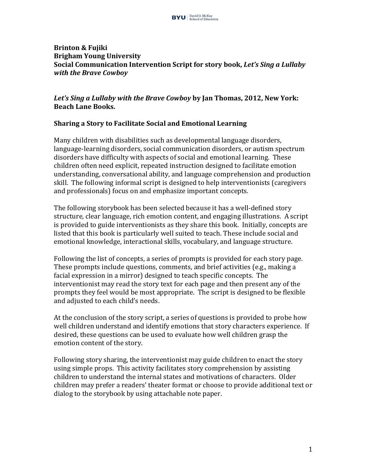

#### **Brinton & Fujiki Brigham Young University Social Communication Intervention Script for story book, Let's Sing a Lullaby** *with the Brave Cowboy*

## Let's Sing a Lullaby with the Brave Cowboy by Jan Thomas, 2012, New York: **Beach Lane Books.**

## **Sharing a Story to Facilitate Social and Emotional Learning**

Many children with disabilities such as developmental language disorders, language-learning disorders, social communication disorders, or autism spectrum disorders have difficulty with aspects of social and emotional learning. These children often need explicit, repeated instruction designed to facilitate emotion understanding, conversational ability, and language comprehension and production skill. The following informal script is designed to help interventionists (caregivers and professionals) focus on and emphasize important concepts.

The following storybook has been selected because it has a well-defined story structure, clear language, rich emotion content, and engaging illustrations. A script is provided to guide interventionists as they share this book. Initially, concepts are listed that this book is particularly well suited to teach. These include social and emotional knowledge, interactional skills, vocabulary, and language structure.

Following the list of concepts, a series of prompts is provided for each story page. These prompts include questions, comments, and brief activities (e.g., making a facial expression in a mirror) designed to teach specific concepts. The interventionist may read the story text for each page and then present any of the prompts they feel would be most appropriate. The script is designed to be flexible and adjusted to each child's needs.

At the conclusion of the story script, a series of questions is provided to probe how well children understand and identify emotions that story characters experience. If desired, these questions can be used to evaluate how well children grasp the emotion content of the story.

Following story sharing, the interventionist may guide children to enact the story using simple props. This activity facilitates story comprehension by assisting children to understand the internal states and motivations of characters. Older children may prefer a readers' theater format or choose to provide additional text or dialog to the storybook by using attachable note paper.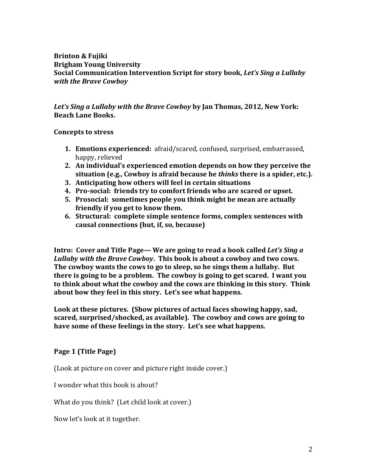### **Brinton & Fujiki Brigham Young University Social Communication Intervention Script for story book, Let's Sing a Lullaby** *with the Brave Cowboy*

Let's Sing a Lullaby with the Brave Cowboy by Jan Thomas, 2012, New York: **Beach Lane Books.**

**Concepts to stress**

- **1. Emotions experienced:** afraid/scared, confused, surprised, embarrassed, happy, relieved
- **2.** An individual's experienced emotion depends on how they perceive the **situation** (e.g., Cowboy is afraid because he *thinks* there is a spider, etc.).
- **3.** Anticipating how others will feel in certain situations
- **4.** Pro-social: friends try to comfort friends who are scared or upset.
- **5.** Prosocial: sometimes people you think might be mean are actually friendly if you get to know them.
- **6. Structural: complete simple sentence forms, complex sentences with** causal connections (but, if, so, because)

**Intro: Cover and Title Page—** We are going to read a book called *Let's Sing a* Lullaby with the Brave Cowboy. This book is about a cowboy and two cows. The cowboy wants the cows to go to sleep, so he sings them a lullaby. But there is going to be a problem. The cowboy is going to get scared. I want you to think about what the cowboy and the cows are thinking in this story. Think about how they feel in this story. Let's see what happens.

Look at these pictures. (Show pictures of actual faces showing happy, sad, scared, surprised/shocked, as available). The cowboy and cows are going to have some of these feelings in the story. Let's see what happens.

**Page 1 (Title Page)**

(Look at picture on cover and picture right inside cover.)

I wonder what this book is about?

What do you think? (Let child look at cover.)

Now let's look at it together.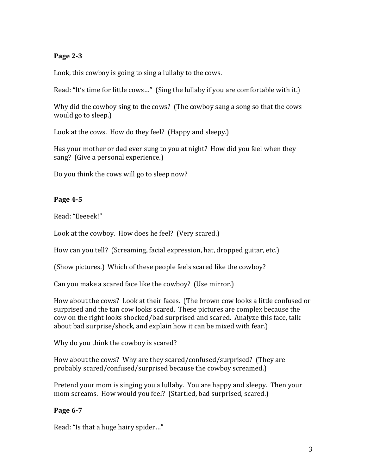## **Page 2-3**

Look, this cowboy is going to sing a lullaby to the cows.

Read: "It's time for little cows..." (Sing the lullaby if you are comfortable with it.)

Why did the cowboy sing to the cows? (The cowboy sang a song so that the cows would go to sleep.)

Look at the cows. How do they feel? (Happy and sleepy.)

Has your mother or dad ever sung to you at night? How did you feel when they sang? (Give a personal experience.)

Do you think the cows will go to sleep now?

# **Page 4-5**

Read: "Eeeeek!"

Look at the cowboy. How does he feel? (Very scared.)

How can you tell? (Screaming, facial expression, hat, dropped guitar, etc.)

(Show pictures.) Which of these people feels scared like the cowboy?

Can you make a scared face like the cowboy? (Use mirror.)

How about the cows? Look at their faces. (The brown cow looks a little confused or surprised and the tan cow looks scared. These pictures are complex because the cow on the right looks shocked/bad surprised and scared. Analyze this face, talk about bad surprise/shock, and explain how it can be mixed with fear.)

Why do you think the cowboy is scared?

How about the cows? Why are they scared/confused/surprised? (They are probably scared/confused/surprised because the cowboy screamed.)

Pretend your mom is singing you a lullaby. You are happy and sleepy. Then your mom screams. How would you feel? (Startled, bad surprised, scared.)

## **Page 6-7**

Read: "Is that a huge hairy spider..."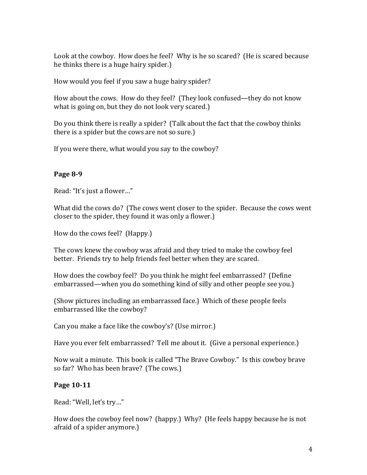Look at the cowboy. How does he feel? Why is he so scared? (He is scared because he thinks there is a huge hairy spider.)

How would you feel if you saw a huge hairy spider?

How about the cows. How do they feel? (They look confused—they do not know what is going on, but they do not look very scared.)

Do you think there is really a spider? (Talk about the fact that the cowboy thinks there is a spider but the cows are not so sure.)

If you were there, what would you say to the cowboy?

## **Page 8-9**

Read: "It's just a flower..."

What did the cows do? (The cows went closer to the spider. Because the cows went closer to the spider, they found it was only a flower.)

How do the cows feel? (Happy.)

The cows knew the cowboy was afraid and they tried to make the cowboy feel better. Friends try to help friends feel better when they are scared.

How does the cowboy feel? Do you think he might feel embarrassed? (Define embarrassed—when you do something kind of silly and other people see you.)

(Show pictures including an embarrassed face.) Which of these people feels embarrassed like the cowboy?

Can you make a face like the cowboy's? (Use mirror.)

Have you ever felt embarrassed? Tell me about it. (Give a personal experience.)

Now wait a minute. This book is called "The Brave Cowboy." Is this cowboy brave so far? Who has been brave? (The cows.)

### **Page 10-11**

Read: "Well, let's try..."

How does the cowboy feel now? (happy.) Why? (He feels happy because he is not afraid of a spider anymore.)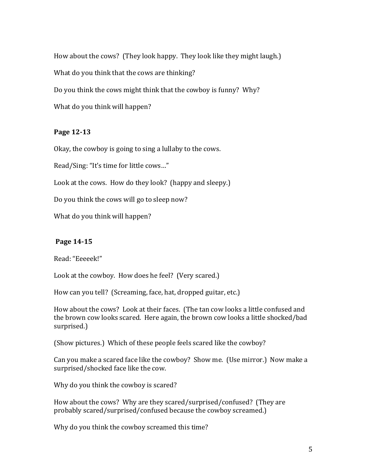How about the cows? (They look happy. They look like they might laugh.) What do you think that the cows are thinking?

Do you think the cows might think that the cowboy is funny? Why?

What do you think will happen?

# **Page 12-13**

Okay, the cowboy is going to sing a lullaby to the cows.

Read/Sing: "It's time for little cows..."

Look at the cows. How do they look? (happy and sleepy.)

Do you think the cows will go to sleep now?

What do you think will happen?

# **Page 14-15**

Read: "Eeeeek!"

Look at the cowboy. How does he feel? (Very scared.)

How can you tell? (Screaming, face, hat, dropped guitar, etc.)

How about the cows? Look at their faces. (The tan cow looks a little confused and the brown cow looks scared. Here again, the brown cow looks a little shocked/bad surprised.)

(Show pictures.) Which of these people feels scared like the cowboy?

Can you make a scared face like the cowboy? Show me. (Use mirror.) Now make a surprised/shocked face like the cow.

Why do you think the cowboy is scared?

How about the cows? Why are they scared/surprised/confused? (They are probably scared/surprised/confused because the cowboy screamed.)

Why do you think the cowboy screamed this time?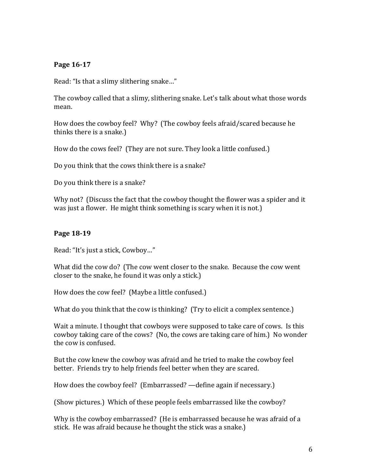## **Page 16-17**

Read: "Is that a slimy slithering snake..."

The cowboy called that a slimy, slithering snake. Let's talk about what those words mean.

How does the cowboy feel? Why? (The cowboy feels afraid/scared because he thinks there is a snake.)

How do the cows feel? (They are not sure. They look a little confused.)

Do you think that the cows think there is a snake?

Do you think there is a snake?

Why not? (Discuss the fact that the cowboy thought the flower was a spider and it was just a flower. He might think something is scary when it is not.)

### **Page 18-19**

Read: "It's just a stick, Cowboy..."

What did the cow do? (The cow went closer to the snake. Because the cow went closer to the snake, he found it was only a stick.)

How does the cow feel? (Maybe a little confused.)

What do you think that the cow is thinking? (Try to elicit a complex sentence.)

Wait a minute. I thought that cowboys were supposed to take care of cows. Is this cowboy taking care of the cows? (No, the cows are taking care of him.) No wonder the cow is confused.

But the cow knew the cowboy was afraid and he tried to make the cowboy feel better. Friends try to help friends feel better when they are scared.

How does the cowboy feel? (Embarrassed? —define again if necessary.)

(Show pictures.) Which of these people feels embarrassed like the cowboy?

Why is the cowboy embarrassed? (He is embarrassed because he was afraid of a stick. He was afraid because he thought the stick was a snake.)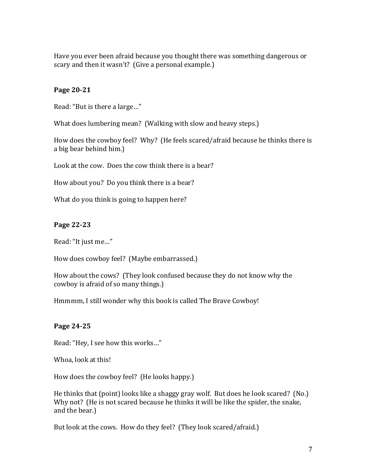Have you ever been afraid because you thought there was something dangerous or scary and then it wasn't? (Give a personal example.)

## **Page 20-21**

Read: "But is there a large..."

What does lumbering mean? (Walking with slow and heavy steps.)

How does the cowboy feel? Why? (He feels scared/afraid because he thinks there is a big bear behind him.)

Look at the cow. Does the cow think there is a bear?

How about you? Do you think there is a bear?

What do you think is going to happen here?

## **Page 22-23**

Read: "It just me..."

How does cowboy feel? (Maybe embarrassed.)

How about the cows? (They look confused because they do not know why the cowboy is afraid of so many things.)

Hmmmm, I still wonder why this book is called The Brave Cowboy!

## **Page 24-25**

Read: "Hey, I see how this works..."

Whoa, look at this!

How does the cowboy feel? (He looks happy.)

He thinks that  $\alpha$  (point) looks like a shaggy gray wolf. But does he look scared? (No.) Why not? (He is not scared because he thinks it will be like the spider, the snake, and the bear.)

But look at the cows. How do they feel? (They look scared/afraid.)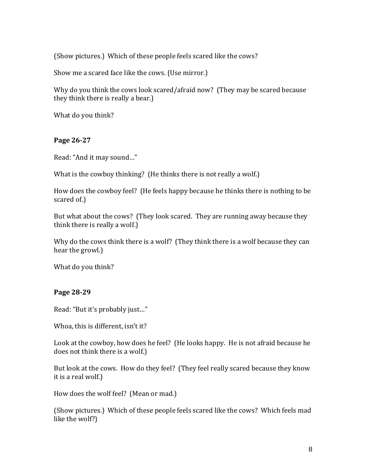(Show pictures.) Which of these people feels scared like the cows?

Show me a scared face like the cows. (Use mirror.)

Why do you think the cows look scared/afraid now? (They may be scared because they think there is really a bear.)

What do you think?

### **Page 26-27**

Read: "And it may sound..."

What is the cowboy thinking? (He thinks there is not really a wolf.)

How does the cowboy feel? (He feels happy because he thinks there is nothing to be scared of.)

But what about the cows? (They look scared. They are running away because they think there is really a wolf.)

Why do the cows think there is a wolf? (They think there is a wolf because they can hear the growl.)

What do you think?

### **Page 28-29**

Read: "But it's probably just..."

Whoa, this is different, isn't it?

Look at the cowboy, how does he feel? (He looks happy. He is not afraid because he does not think there is a wolf.)

But look at the cows. How do they feel? (They feel really scared because they know it is a real wolf.)

How does the wolf feel? (Mean or mad.)

(Show pictures.) Which of these people feels scared like the cows? Which feels mad like the wolf?)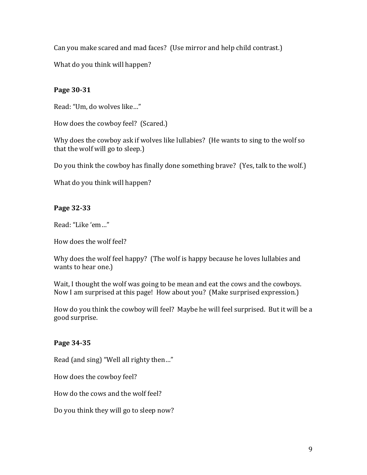Can you make scared and mad faces? (Use mirror and help child contrast.)

What do you think will happen?

# **Page 30-31**

Read: "Um, do wolves like..."

How does the cowboy feel? (Scared.)

Why does the cowboy ask if wolves like lullabies? (He wants to sing to the wolf so that the wolf will go to sleep.)

Do you think the cowboy has finally done something brave? (Yes, talk to the wolf.)

What do you think will happen?

# **Page 32-33**

Read: "Like 'em..."

How does the wolf feel?

Why does the wolf feel happy? (The wolf is happy because he loves lullabies and wants to hear one.)

Wait, I thought the wolf was going to be mean and eat the cows and the cowboys. Now I am surprised at this page! How about you? (Make surprised expression.)

How do you think the cowboy will feel? Maybe he will feel surprised. But it will be a good surprise.

# **Page 34-35**

Read (and sing) "Well all righty then..."

How does the cowboy feel?

How do the cows and the wolf feel?

Do you think they will go to sleep now?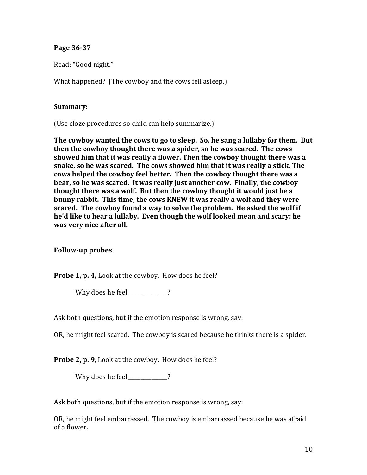### **Page 36-37**

Read: "Good night."

What happened? (The cowboy and the cows fell asleep.)

#### **Summary:**

(Use cloze procedures so child can help summarize.)

The cowboy wanted the cows to go to sleep. So, he sang a lullaby for them. But then the cowboy thought there was a spider, so he was scared. The cows **showed him that it was really a flower. Then the cowboy thought there was a** snake, so he was scared. The cows showed him that it was really a stick. The cows helped the cowboy feel better. Then the cowboy thought there was a **bear, so he was scared. It was really just another cow. Finally, the cowboy thought there was a wolf. But then the cowboy thought it would just be a bunny rabbit.** This time, the cows KNEW it was really a wolf and they were scared. The cowboy found a way to solve the problem. He asked the wolf if he'd like to hear a lullaby. Even though the wolf looked mean and scary; he was very nice after all.

### **Follow-up probes**

**Probe 1, p. 4,** Look at the cowboy. How does he feel?

Why does he feel  $\sim$  ?

Ask both questions, but if the emotion response is wrong, say:

OR, he might feel scared. The cowboy is scared because he thinks there is a spider.

**Probe 2, p. 9,** Look at the cowboy. How does he feel?

Why does he feel 2

Ask both questions, but if the emotion response is wrong, say:

OR, he might feel embarrassed. The cowboy is embarrassed because he was afraid of a flower.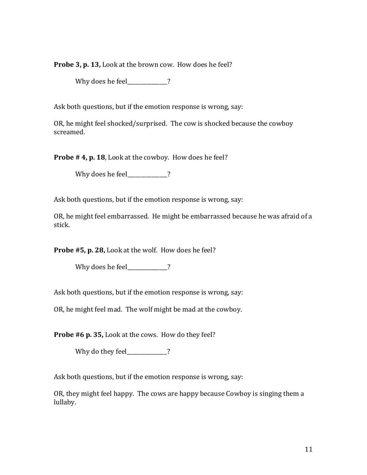Probe 3, p. 13, Look at the brown cow. How does he feel?

Why does he feel\_\_\_\_\_\_\_\_\_\_?

Ask both questions, but if the emotion response is wrong, say:

OR, he might feel shocked/surprised. The cow is shocked because the cowboy screamed.

**Probe # 4, p. 18**, Look at the cowboy. How does he feel?

Why does he feel\_\_\_\_\_\_\_\_\_\_?

Ask both questions, but if the emotion response is wrong, say:

OR, he might feel embarrassed. He might be embarrassed because he was afraid of a stick.

**Probe #5, p. 28,** Look at the wolf. How does he feel?

Why does he feel\_\_\_\_\_\_\_\_\_\_\_\_?

Ask both questions, but if the emotion response is wrong, say:

OR, he might feel mad. The wolf might be mad at the cowboy.

**Probe #6 p. 35,** Look at the cows. How do they feel?

Why do they feel\_\_\_\_\_\_\_\_\_\_\_?

Ask both questions, but if the emotion response is wrong, say:

OR, they might feel happy. The cows are happy because Cowboy is singing them a lullaby.